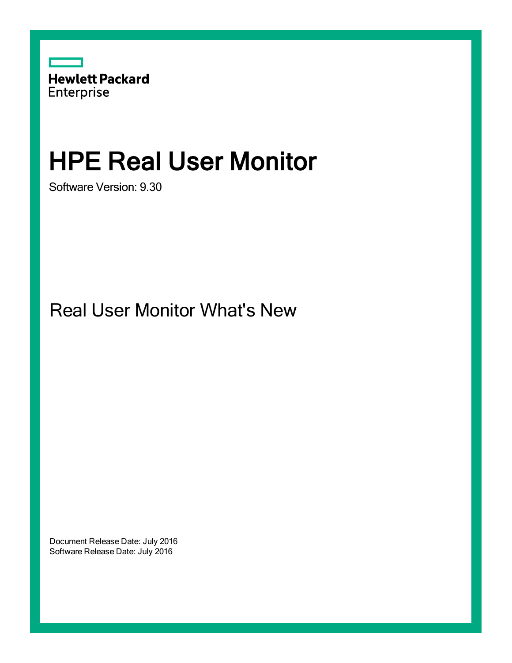

# HPE Real User Monitor

Software Version: 9.30

Real User Monitor What's New

Document Release Date: July 2016 Software Release Date: July 2016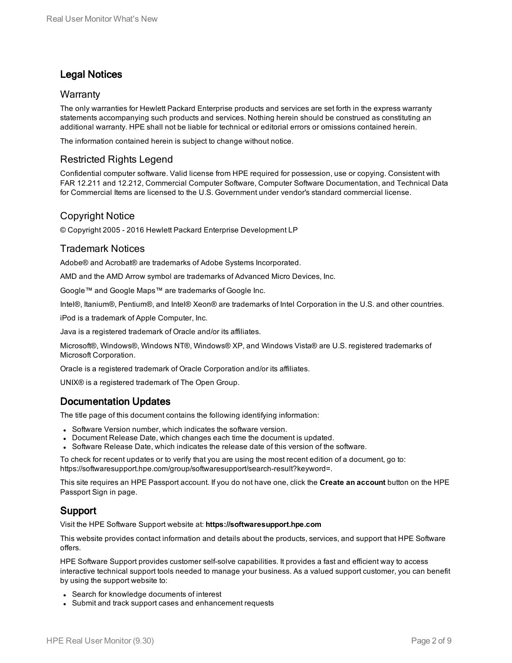## Legal Notices

#### **Warranty**

The only warranties for Hewlett Packard Enterprise products and services are set forth in the express warranty statements accompanying such products and services. Nothing herein should be construed as constituting an additional warranty. HPE shall not be liable for technical or editorial errors or omissions contained herein.

The information contained herein is subject to change without notice.

### Restricted Rights Legend

Confidential computer software. Valid license from HPE required for possession, use or copying. Consistent with FAR 12.211 and 12.212, Commercial Computer Software, Computer Software Documentation, and Technical Data for Commercial Items are licensed to the U.S. Government under vendor's standard commercial license.

### Copyright Notice

© Copyright 2005 - 2016 Hewlett Packard Enterprise Development LP

#### Trademark Notices

Adobe® and Acrobat® are trademarks of Adobe Systems Incorporated.

AMD and the AMD Arrow symbol are trademarks of Advanced Micro Devices, Inc.

Google™ and Google Maps™ are trademarks of Google Inc.

Intel®, Itanium®, Pentium®, and Intel® Xeon® are trademarks of Intel Corporation in the U.S. and other countries.

iPod is a trademark of Apple Computer, Inc.

Java is a registered trademark of Oracle and/or its affiliates.

Microsoft®, Windows®, Windows NT®, Windows® XP, and Windows Vista® are U.S. registered trademarks of Microsoft Corporation.

Oracle is a registered trademark of Oracle Corporation and/or its affiliates.

UNIX® is a registered trademark of The Open Group.

### Documentation Updates

The title page of this document contains the following identifying information:

- Software Version number, which indicates the software version.
- Document Release Date, which changes each time the document is updated.
- <sup>l</sup> Software Release Date, which indicates the release date of this version of the software.

To check for recent updates or to verify that you are using the most recent edition of a document, go to: https://softwaresupport.hpe.com/group/softwaresupport/search-result?keyword=.

This site requires an HPE Passport account. If you do not have one, click the **Create an account** button on the HPE Passport Sign in page.

### Support

Visit the HPE Software Support website at: **https://softwaresupport.hpe.com**

This website provides contact information and details about the products, services, and support that HPE Software offers.

HPE Software Support provides customer self-solve capabilities. It provides a fast and efficient way to access interactive technical support tools needed to manage your business. As a valued support customer, you can benefit by using the support website to:

- Search for knowledge documents of interest
- Submit and track support cases and enhancement requests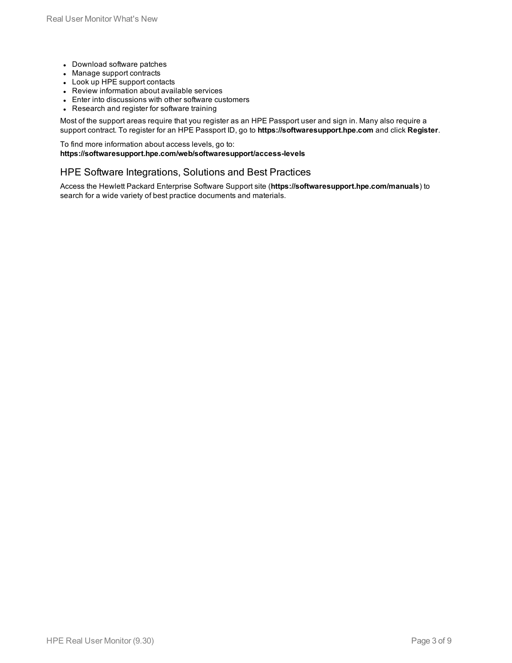- Download software patches
- Manage support contracts
- Look up HPE support contacts
- Review information about available services
- Enter into discussions with other software customers
- Research and register for software training

Most of the support areas require that you register as an HPE Passport user and sign in. Many also require a support contract. To register for an HPE Passport ID, go to **https://softwaresupport.hpe.com** and click **Register**.

To find more information about access levels, go to: **https://softwaresupport.hpe.com/web/softwaresupport/access-levels**

#### HPE Software Integrations, Solutions and Best Practices

Access the Hewlett Packard Enterprise Software Support site (**https://softwaresupport.hpe.com/manuals**) to search for a wide variety of best practice documents and materials.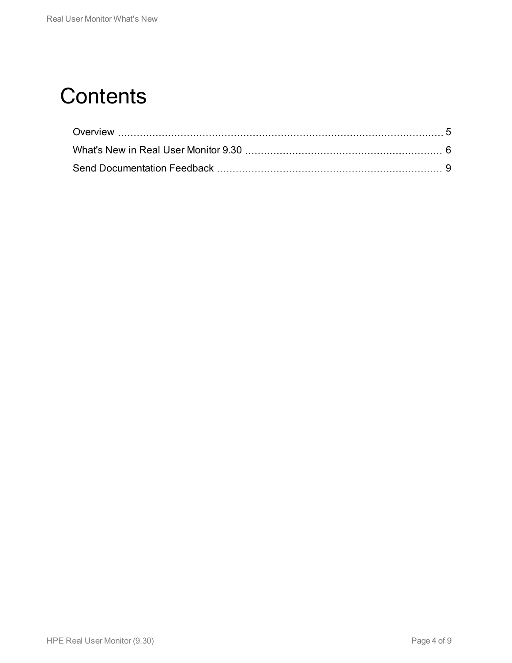# **Contents**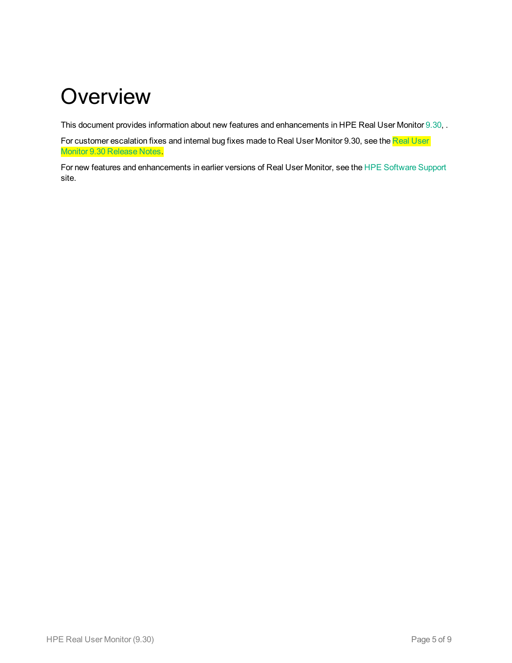# <span id="page-4-0"></span>**Overview**

This document provides information about new features and enhancements in HPE Real User Monitor [9.30](#page-5-0), .

For customer escalation fixes and internal bug fixes made to Real [User](https://softwaresupport.hp.com/group/softwaresupport/search-result/-/facetsearch/document/KM01441652) Monitor 9.30, see the Real User Monitor 9.30 [Release](https://softwaresupport.hp.com/group/softwaresupport/search-result/-/facetsearch/document/KM01441652) Notes.

For new features and enhancements in earlier versions of Real User Monitor, see the HPE [Software](https://softwaresupport.hpe.com/) Support site.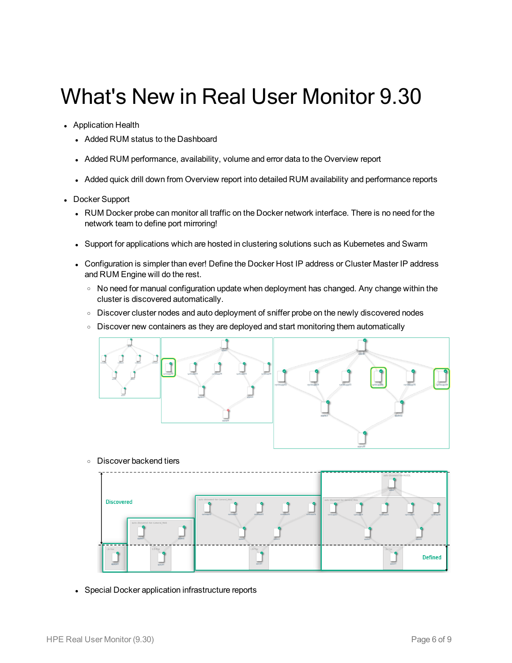# <span id="page-5-0"></span>What's New in Real User Monitor 9.30

- Application Health
	- Added RUM status to the Dashboard
	- Added RUM performance, availability, volume and error data to the Overview report
	- Added quick drill down from Overview report into detailed RUM availability and performance reports
- Docker Support
	- RUM Docker probe can monitor all traffic on the Docker network interface. There is no need for the network team to define port mirroring!
	- Support for applications which are hosted in clustering solutions such as Kubernetes and Swarm
	- Configuration is simpler than ever! Define the Docker Host IP address or Cluster Master IP address and RUM Engine will do the rest.
		- No need for manual configuration update when deployment has changed. Any change within the cluster is discovered automatically.
		- o Discover cluster nodes and auto deployment of sniffer probe on the newly discovered nodes
		- Discover new containers as they are deployed and start monitoring them automatically



<sup>o</sup> Discover backend tiers



• Special Docker application infrastructure reports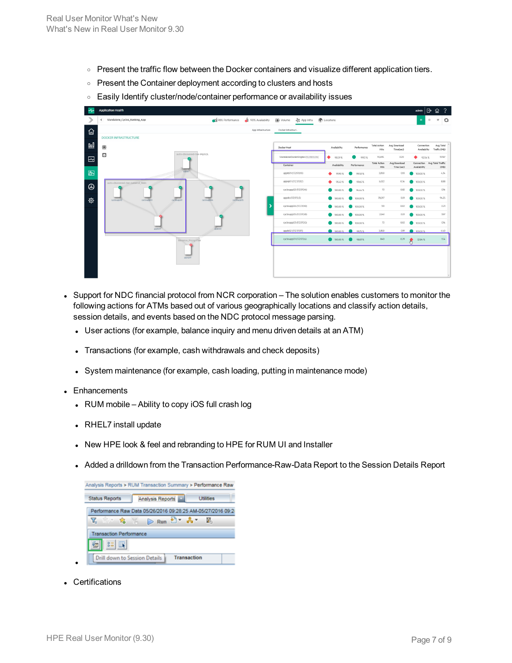- Present the traffic flow between the Docker containers and visualize different application tiers.
- Present the Container deployment according to clusters and hosts
- **Easily Identify cluster/node/container performance or availability issues**



- Support for NDC financial protocol from NCR corporation The solution enables customers to monitor the following actions for ATMs based out of various geographically locations and classify action details, session details, and events based on the NDC protocol message parsing.
	- User actions (for example, balance inquiry and menu driven details at an ATM)
	- Transactions (for example, cash withdrawals and check deposits)
	- System maintenance (for example, cash loading, putting in maintenance mode)
- **Enhancements** 
	- RUM mobile Ability to copy iOS full crash log
	- RHEL7 install update
	- New HPE look & feel and rebranding to HPE for RUM UI and Installer
	- Added a drilldown from the Transaction Performance-Raw-Data Report to the Session Details Report



• Certifications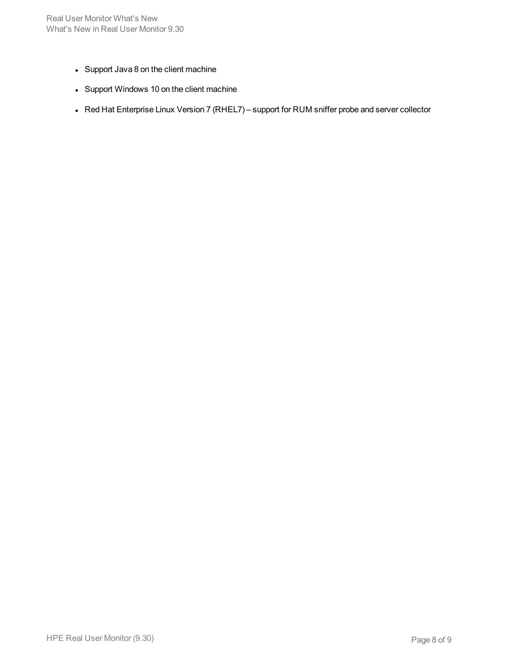- Support Java 8 on the client machine
- Support Windows 10 on the client machine
- Red Hat Enterprise Linux Version 7 (RHEL7) support for RUM sniffer probe and server collector